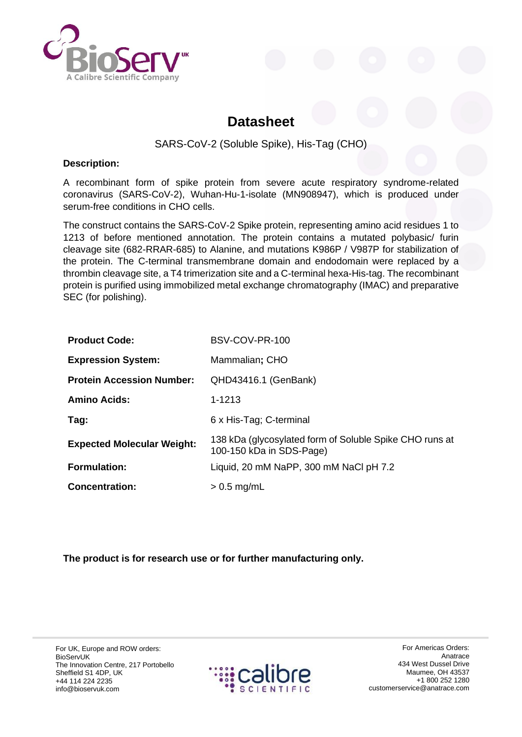

# **Datasheet**

## SARS-CoV-2 (Soluble Spike), His-Tag (CHO)

#### **Description:**

A recombinant form of spike protein from severe acute respiratory syndrome-related coronavirus (SARS-CoV-2), Wuhan-Hu-1-isolate (MN908947), which is produced under serum-free conditions in CHO cells.

The construct contains the SARS-CoV-2 Spike protein, representing amino acid residues 1 to 1213 of before mentioned annotation. The protein contains a mutated polybasic/ furin cleavage site (682-RRAR-685) to Alanine, and mutations K986P / V987P for stabilization of the protein. The C-terminal transmembrane domain and endodomain were replaced by a thrombin cleavage site, a T4 trimerization site and a C-terminal hexa-His-tag. The recombinant protein is purified using immobilized metal exchange chromatography (IMAC) and preparative SEC (for polishing).

| <b>Product Code:</b>              | BSV-COV-PR-100                                                                      |
|-----------------------------------|-------------------------------------------------------------------------------------|
| <b>Expression System:</b>         | Mammalian; CHO                                                                      |
| <b>Protein Accession Number:</b>  | QHD43416.1 (GenBank)                                                                |
| <b>Amino Acids:</b>               | 1-1213                                                                              |
| Tag:                              | 6 x His-Tag; C-terminal                                                             |
| <b>Expected Molecular Weight:</b> | 138 kDa (glycosylated form of Soluble Spike CHO runs at<br>100-150 kDa in SDS-Page) |
| <b>Formulation:</b>               | Liquid, 20 mM NaPP, 300 mM NaCl pH 7.2                                              |
| <b>Concentration:</b>             | $> 0.5$ mg/mL                                                                       |

**The product is for research use or for further manufacturing only.**

For UK, Europe and ROW orders: BioServUK The Innovation Centre, 217 Portobello Sheffield S1 4DP, UK +44 114 224 2235 info@bioservuk.com